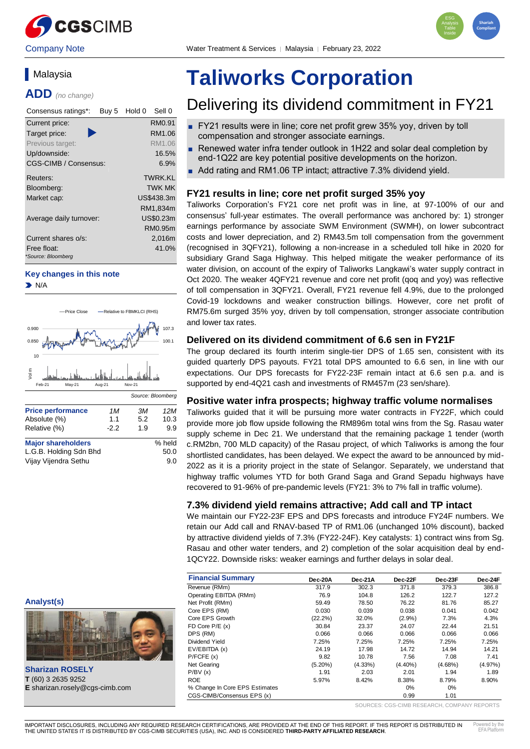



# **Malaysia**

**ADD** *(no change)*

| Consensus ratings*:<br>Buy 5      | Sell 0<br>Hold 0 |
|-----------------------------------|------------------|
| Current price:                    | RM0.91           |
| D<br>Target price:                | RM1.06           |
| Previous target:                  | RM1.06           |
| Up/downside:                      | 16.5%            |
| CGS-CIMB / Consensus:             | 6.9%             |
| Reuters:                          | TWRK KI          |
| Bloomberg:                        | <b>TWK MK</b>    |
| Market cap:                       | US\$438.3m       |
|                                   | RM1,834m         |
| Average daily turnover:           | US\$0.23m        |
|                                   | RM0.95m          |
| Current shares o/s:               | 2,016m           |
| Free float:<br>*Source: Bloomberg | 41.0%            |

#### **Key changes in this note**

 $\blacktriangleright$  N/A



# **Taliworks Corporation**

# Delivering its dividend commitment in FY21

- FY21 results were in line; core net profit grew 35% yoy, driven by toll compensation and stronger associate earnings.
- Renewed water infra tender outlook in 1H22 and solar deal completion by end-1Q22 are key potential positive developments on the horizon.
- Add rating and RM1.06 TP intact; attractive 7.3% dividend yield.

#### **FY21 results in line; core net profit surged 35% yoy**

Taliworks Corporation's FY21 core net profit was in line, at 97-100% of our and consensus' full-year estimates. The overall performance was anchored by: 1) stronger earnings performance by associate SWM Environment (SWMH), on lower subcontract costs and lower depreciation, and 2) RM43.5m toll compensation from the government (recognised in 3QFY21), following a non-increase in a scheduled toll hike in 2020 for subsidiary Grand Saga Highway. This helped mitigate the weaker performance of its water division, on account of the expiry of Taliworks Langkawi's water supply contract in Oct 2020. The weaker 4QFY21 revenue and core net profit (qoq and yoy) was reflective of toll compensation in 3QFY21. Overall, FY21 revenue fell 4.9%, due to the prolonged Covid-19 lockdowns and weaker construction billings. However, core net profit of RM75.6m surged 35% yoy, driven by toll compensation, stronger associate contribution and lower tax rates.

#### **Delivered on its dividend commitment of 6.6 sen in FY21F**

The group declared its fourth interim single-tier DPS of 1.65 sen, consistent with its guided quarterly DPS payouts. FY21 total DPS amounted to 6.6 sen, in line with our expectations. Our DPS forecasts for FY22-23F remain intact at 6.6 sen p.a. and is supported by end-4Q21 cash and investments of RM457m (23 sen/share).

#### **Positive water infra prospects; highway traffic volume normalises**

Taliworks guided that it will be pursuing more water contracts in FY22F, which could provide more job flow upside following the RM896m total wins from the Sg. Rasau water supply scheme in Dec 21. We understand that the remaining package 1 tender (worth c.RM2bn, 700 MLD capacity) of the Rasau project, of which Taliworks is among the four shortlisted candidates, has been delayed. We expect the award to be announced by mid-2022 as it is a priority project in the state of Selangor. Separately, we understand that highway traffic volumes YTD for both Grand Saga and Grand Sepadu highways have recovered to 91-96% of pre-pandemic levels (FY21: 3% to 7% fall in traffic volume).

#### **7.3% dividend yield remains attractive; Add call and TP intact**

We maintain our FY22-23F EPS and DPS forecasts and introduce FY24F numbers. We retain our Add call and RNAV-based TP of RM1.06 (unchanged 10% discount), backed by attractive dividend yields of 7.3% (FY22-24F). Key catalysts: 1) contract wins from Sg. Rasau and other water tenders, and 2) completion of the solar acquisition deal by end-1QCY22. Downside risks: weaker earnings and further delays in solar deal.

|                                       | <b>Financial Summary</b>       | Dec-20A    | Dec-21A    | Dec-22F    | Dec-23F    | Dec-24F    |
|---------------------------------------|--------------------------------|------------|------------|------------|------------|------------|
|                                       | Revenue (RMm)                  | 317.9      | 302.3      | 371.8      | 379.3      | 386.8      |
|                                       | Operating EBITDA (RMm)         | 76.9       | 104.8      | 126.2      | 122.7      | 127.2      |
| Analyst(s)                            | Net Profit (RMm)               | 59.49      | 78.50      | 76.22      | 81.76      | 85.27      |
|                                       | Core EPS (RM)                  | 0.030      | 0.039      | 0.038      | 0.041      | 0.042      |
| EIN                                   | Core EPS Growth                | $(22.2\%)$ | 32.0%      | $(2.9\%)$  | 7.3%       | 4.3%       |
|                                       | FD Core $P/E(x)$               | 30.84      | 23.37      | 24.07      | 22.44      | 21.51      |
|                                       | DPS (RM)                       | 0.066      | 0.066      | 0.066      | 0.066      | 0.066      |
|                                       | Dividend Yield                 | 7.25%      | 7.25%      | 7.25%      | 7.25%      | 7.25%      |
|                                       | EV/EBITDA (x)                  | 24.19      | 17.98      | 14.72      | 14.94      | 14.21      |
|                                       | P/FCFE(x)                      | 9.82       | 10.78      | 7.56       | 7.08       | 7.41       |
|                                       | Net Gearing                    | $(5.20\%)$ | $(4.33\%)$ | $(4.40\%)$ | $(4.68\%)$ | $(4.97\%)$ |
| <b>Sharizan ROSELY</b>                | P/BV(x)                        | 1.91       | 2.03       | 2.01       | 1.94       | 1.89       |
| T (60) 3 2635 9252                    | <b>ROE</b>                     | 5.97%      | 8.42%      | 8.38%      | 8.79%      | 8.90%      |
| <b>E</b> sharizan.rosely@cgs-cimb.com | % Change In Core EPS Estimates |            |            | 0%         | 0%         |            |
|                                       | CGS-CIMB/Consensus EPS (x)     |            |            | 0.99       | 1.01       |            |



SOURCES: CGS-CIMB RESEARCH, COMPANY REPORTS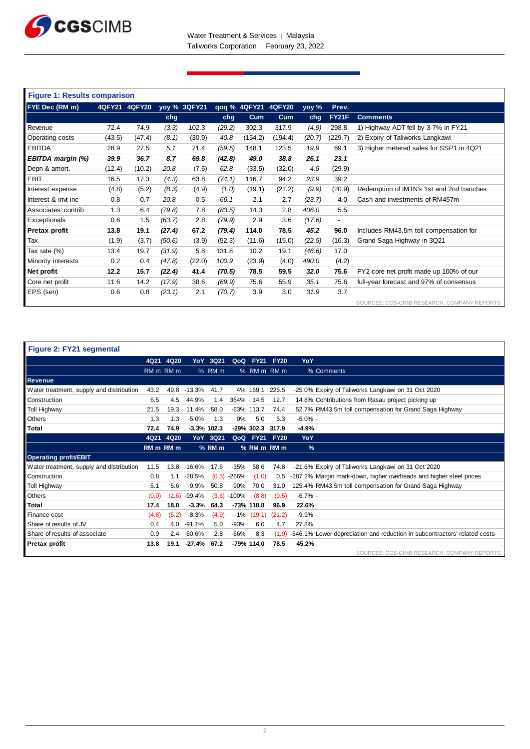

| <b>Figure 1: Results comparison</b> |        |               |        |              |        |                     |         |        |                          |                                             |
|-------------------------------------|--------|---------------|--------|--------------|--------|---------------------|---------|--------|--------------------------|---------------------------------------------|
| FYE Dec (RM m)                      |        | 4QFY21 4QFY20 |        | yoy % 3QFY21 |        | qoq % 4QFY21 4QFY20 |         | yoy %  | Prev.                    |                                             |
|                                     |        |               | chg    |              | chg    | Cum                 | Cum     | chg    | <b>FY21F</b>             | <b>Comments</b>                             |
| Revenue                             | 72.4   | 74.9          | (3.3)  | 102.3        | (29.2) | 302.3               | 317.9   | (4.9)  | 298.8                    | 1) Highway ADT fell by 3-7% in FY21         |
| Operating costs                     | (43.5) | (47.4)        | (8.1)  | (30.9)       | 40.8   | (154.2)             | (194.4) | (20.7) | (229.7)                  | 2) Expiry of Taliworks Langkawi             |
| <b>EBITDA</b>                       | 28.9   | 27.5          | 5.1    | 71.4         | (59.5) | 148.1               | 123.5   | 19.9   | 69.1                     | 3) Higher metered sales for SSP1 in 4Q21    |
| EBITDA margin (%)                   | 39.9   | 36.7          | 8.7    | 69.8         | (42.8) | 49.0                | 38.8    | 26.1   | 23.1                     |                                             |
| Depn & amort.                       | (12.4) | (10.2)        | 20.8   | (7.6)        | 62.8   | (33.5)              | (32.0)  | 4.5    | (29.9)                   |                                             |
| <b>EBIT</b>                         | 16.5   | 17.3          | (4.3)  | 63.8         | (74.1) | 116.7               | 94.2    | 23.9   | 39.2                     |                                             |
| Interest expense                    | (4.8)  | (5.2)         | (8.3)  | (4.9)        | (1.0)  | (19.1)              | (21.2)  | (9.9)  | (20.9)                   | Redemption of IMTN's 1st and 2nd tranches   |
| Interest & invt inc                 | 0.8    | 0.7           | 20.8   | 0.5          | 66.1   | 2.1                 | 2.7     | (23.7) | 4.0                      | Cash and investments of RM457m              |
| Associates' contrib                 | 1.3    | 6.4           | (79.8) | 7.8          | (83.5) | 14.3                | 2.8     | 406.0  | 5.5                      |                                             |
| Exceptionals                        | 0.6    | 1.5           | (63.7) | 2.8          | (79.9) | 2.9                 | 3.6     | (17.6) | $\overline{\phantom{a}}$ |                                             |
| Pretax profit                       | 13.8   | 19.1          | (27.4) | 67.2         | (79.4) | 114.0               | 78.5    | 45.2   | 96.0                     | Includes RM43.5m toll compensation for      |
| Tax                                 | (1.9)  | (3.7)         | (50.6) | (3.9)        | (52.3) | (11.6)              | (15.0)  | (22.5) | (16.3)                   | Grand Saga Highway in 3Q21                  |
| Tax rate (%)                        | 13.4   | 19.7          | (31.9) | 5.8          | 131.8  | 10.2                | 19.1    | (46.6) | 17.0                     |                                             |
| Minority interests                  | 0.2    | 0.4           | (47.8) | (22.0)       | 100.9  | (23.9)              | (4.0)   | 490.0  | (4.2)                    |                                             |
| Net profit                          | 12.2   | 15.7          | (22.4) | 41.4         | (70.5) | 78.5                | 59.5    | 32.0   | 75.6                     | FY2 core net profit made up 100% of our     |
| Core net profit                     | 11.6   | 14.2          | (17.9) | 38.6         | (69.9) | 75.6                | 55.9    | 35.1   | 75.6                     | full-year forecast and 97% of consensus     |
| EPS (sen)                           | 0.6    | 0.8           | (23.1) | 2.1          | (70.7) | 3.9                 | 3.0     | 31.9   | 3.7                      |                                             |
|                                     |        |               |        |              |        |                     |         |        |                          | SOURCES: CGS-CIMB RESEARCH, COMPANY REPORTS |

| Figure 2: FY21 segmental                 |                                 |       |               |            |               |              |             |               |                                                                           |
|------------------------------------------|---------------------------------|-------|---------------|------------|---------------|--------------|-------------|---------------|---------------------------------------------------------------------------|
|                                          | 4Q21                            | 4Q20  | YoY.          | 3Q21       | QoQ           | <b>FY21</b>  | <b>FY20</b> | YoY           |                                                                           |
|                                          | RM <sub>m</sub> RM <sub>m</sub> |       |               | % RM m     |               | % RM m RM m  |             |               | % Comments                                                                |
| <b>Revenue</b>                           |                                 |       |               |            |               |              |             |               |                                                                           |
| Water treatment, supply and distribution | 43.2                            | 49.8  | $-13.3%$      | 41.7       |               | 4% 169.1     | 225.5       |               | -25.0% Expiry of Taliworks Langkawi on 31 Oct 2020                        |
| Construction                             | 6.5                             | 4.5   | 44.9%         | 1.4        | 364%          | 14.5         | 12.7        |               | 14.8% Contributions from Rasau project picking up                         |
| <b>Toll Highway</b>                      | 21.5                            | 19.3  | 11.4%         | 58.0       | $-63\%$ 113.7 |              | 74.4        |               | 52.7% RM43.5m toll compensation for Grand Saga Highway                    |
| Others                                   | 1.3                             | 1.3   | $-5.0%$       | 1.3        | 0%            | 5.0          | 5.3         | $-5.0\%$ -    |                                                                           |
| Total                                    | 72.4                            | 74.9  | $-3.3%$ 102.3 |            |               | -29% 302.3   | 317.9       | $-4.9%$       |                                                                           |
|                                          | 4Q21                            | 4Q20  |               | YoY 3Q21   |               | QoQ FY21     | <b>FY20</b> | YoY           |                                                                           |
|                                          | RM <sub>m</sub> RM <sub>m</sub> |       |               | $%$ RM $m$ |               | % RM m RM m  |             | $\frac{9}{6}$ |                                                                           |
| <b>Operating profit/EBIT</b>             |                                 |       |               |            |               |              |             |               |                                                                           |
| Water treatment, supply and distribution | 11.5                            | 13.8  | $-16.6%$      | 17.6       | -35%          | 58.6         | 74.8        |               | -21.6% Expiry of Taliworks Langkawi on 31 Oct 2020                        |
| Construction                             | 0.8                             | 1.1   | $-28.5%$      | (0.5)      | -266%         | (1.0)        | 0.5         |               | -287.2% Margin mark-down, higher overheads and higher steel prices        |
| <b>Toll Highway</b>                      | 5.1                             | 5.6   | $-9.9%$       | 50.8       | $-90%$        | 70.0         | 31.0        |               | 125.4% RM43.5m toll compensation for Grand Saga Highway                   |
| <b>Others</b>                            | (0.0)                           | (2.6) | -99.4%        |            | $(3.6)$ 100%  | (8.8)        | (9.5)       | $-6.7\%$ -    |                                                                           |
| Total                                    | 17.4                            | 18.0  | $-3.3%$       | 64.3       |               | $-73%$ 118.8 | 96.9        | 22.6%         |                                                                           |
| Finance cost                             | (4.8)                           | (5.2) | $-8.3%$       | (4.9)      | -1%           | (19.1)       | (21.2)      | $-9.9\%$ -    |                                                                           |
| Share of results of JV                   | 0.4                             | 4.0   | $-91.1%$      | 5.0        | $-93%$        | 6.0          | 4.7         | 27.8%         |                                                                           |
| Share of results of associate            | 0.9                             | 2.4   | $-60.6%$      | 2.8        | $-66%$        | 8.3          | (1.9)       |               | -546.1% Lower depreciation and reduction in subcontractors' related costs |
| Pretax profit                            | 13.8                            | 19.1  | $-27.4%$      | 67.2       |               | -79% 114.0   | 78.5        | 45.2%         |                                                                           |
|                                          |                                 |       |               |            |               |              |             |               | SOURCES: CGS-CIMB RESEARCH, COMPANY REPORTS                               |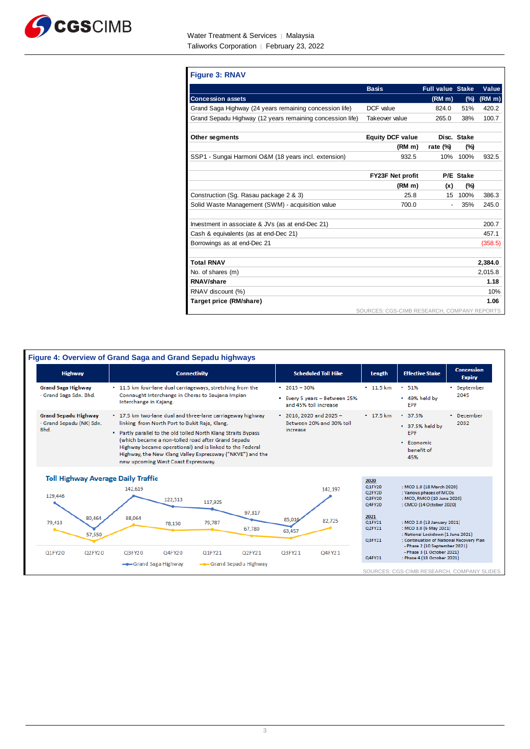

| <b>Figure 3: RNAV</b>                                     |                                             |                         |             |                    |
|-----------------------------------------------------------|---------------------------------------------|-------------------------|-------------|--------------------|
|                                                           | <b>Basis</b>                                | <b>Full value Stake</b> |             | Value              |
| <b>Concession assets</b>                                  |                                             | (RM <sub>m</sub> )      | (%)         | (RM <sub>m</sub> ) |
| Grand Saga Highway (24 years remaining concession life)   | DCF value                                   | 824.0                   | 51%         | 420.2              |
| Grand Sepadu Highway (12 years remaining concession life) | Takeover value                              | 265.0                   | 38%         | 100.7              |
| Other segments                                            | <b>Equity DCF value</b>                     |                         | Disc. Stake |                    |
|                                                           | (RM m)                                      | rate $(\%)$             | $(\%)$      |                    |
| SSP1 - Sungai Harmoni O&M (18 years incl. extension)      | 932.5                                       | 10%                     | 100%        | 932.5              |
|                                                           |                                             |                         |             |                    |
|                                                           | FY23F Net profit                            |                         | P/E Stake   |                    |
|                                                           | (RM m)                                      | (x)                     | (%)         |                    |
| Construction (Sg. Rasau package 2 & 3)                    | 25.8                                        |                         | 15 100%     | 386.3              |
| Solid Waste Management (SWM) - acquisition value          | 700.0                                       |                         | 35%         | 245.0              |
| Investment in associate & JVs (as at end-Dec 21)          |                                             |                         |             | 200.7              |
| Cash & equivalents (as at end-Dec 21)                     |                                             |                         |             | 457.1              |
| Borrowings as at end-Dec 21                               |                                             |                         |             | (358.5)            |
| <b>Total RNAV</b>                                         |                                             |                         |             | 2.384.0            |
| No. of shares (m)                                         |                                             |                         |             | 2.015.8            |
| RNAV/share                                                |                                             |                         |             | 1.18               |
| RNAV discount (%)                                         |                                             |                         |             | 10%                |
| Target price (RM/share)                                   |                                             |                         |             | 1.06               |
|                                                           | SOURCES: CGS-CIMB RESEARCH, COMPANY REPORTS |                         |             |                    |

٦

| <b>Highway</b>                                                                     | <b>Connectivity</b>                                                                                                                                                                                                                                                                                                                                                                                 | <b>Scheduled Toll Hike</b>                                                   | Length                                                                             | <b>Effective Stake</b>                                                                                                                                                                                                                                    | <b>Concession</b><br><b>Expiry</b> |
|------------------------------------------------------------------------------------|-----------------------------------------------------------------------------------------------------------------------------------------------------------------------------------------------------------------------------------------------------------------------------------------------------------------------------------------------------------------------------------------------------|------------------------------------------------------------------------------|------------------------------------------------------------------------------------|-----------------------------------------------------------------------------------------------------------------------------------------------------------------------------------------------------------------------------------------------------------|------------------------------------|
| <b>Grand Saga Highway</b><br>- Grand Saga Sdn. Bhd.                                | • 11.5 km four-lane dual carriageways, stretching from the<br>Connaught Interchange in Cheras to Saujana Impian<br>Interchange in Kajang.                                                                                                                                                                                                                                                           | $\cdot$ 2015 - 30%<br>• Every 5 years - Between 25%<br>and 45% toll increase | $\cdot$ 11.5 km                                                                    | • 51%<br>• 49% held by<br><b>EPF</b>                                                                                                                                                                                                                      | • September<br>2045                |
| <b>Grand Sepadu Highway</b><br>- Grand Sepadu (NK) Sdn.<br>Bhd.                    | • 17.5 km two-lane dual and three-lane carriageway highway<br>linking from North Port to Bukit Raja, Klang.<br>. Partly parallel to the old tolled North Klang Straits Bypass<br>(which became a non-tolled road after Grand Sepadu<br>Highway became operational) and is linked to the Federal<br>Highway, the New Klang Valley Expressway ("NKVE") and the<br>new upcoming West Coast Expressway. | $\cdot$ 2016, 2020 and 2025 -<br>Between 20% and 30% toll<br>increase        | $\cdot$ 17.5 km                                                                    | $\cdot$ 37.5%<br>• 37.5% held by<br><b>EPF</b><br>• Economic<br>benefit of<br>45%                                                                                                                                                                         | • December<br>2032                 |
| <b>Toll Highway Average Daily Traffic</b><br>129,446<br>80,464<br>79,413<br>57,550 | 142,619<br>122,513<br>117,925<br>97,817<br>88,064<br>79,787<br>78,150<br>67.780                                                                                                                                                                                                                                                                                                                     | 142.197<br>85,016<br>82,725<br>63,457                                        | 2020<br>Q1FY20<br>Q2FY20<br>Q3FY20<br>Q4FY20<br>2021<br>Q1FY21<br>Q2FY21<br>Q3FY21 | : MCO 1.0 (18 March 2020)<br>: Various phases of MCOs<br>: MCO, RMCO (10 June 2020)<br>: CMCO (14 October 2020)<br>: MCO 2.0 (13 January 2021)<br>: MCO 3.0 (6 May 2021)<br>: National Lockdown (1 June 2021)<br>: Continuation of National Recovery Plan |                                    |
| Q1FY20<br>Q2FY20                                                                   | Q3FY20<br>Q4FY20<br>Q1FY21<br>Q2FY21<br>-Grand Sepadu Highway<br>--Grand Saga Highway                                                                                                                                                                                                                                                                                                               | Q3FY21<br>Q4FY21                                                             | Q4FY21                                                                             | - Phase 2 (10 September 2021)<br>- Phase 3 (1 October 2021)<br>: Phase 4 (18 October 2021)                                                                                                                                                                |                                    |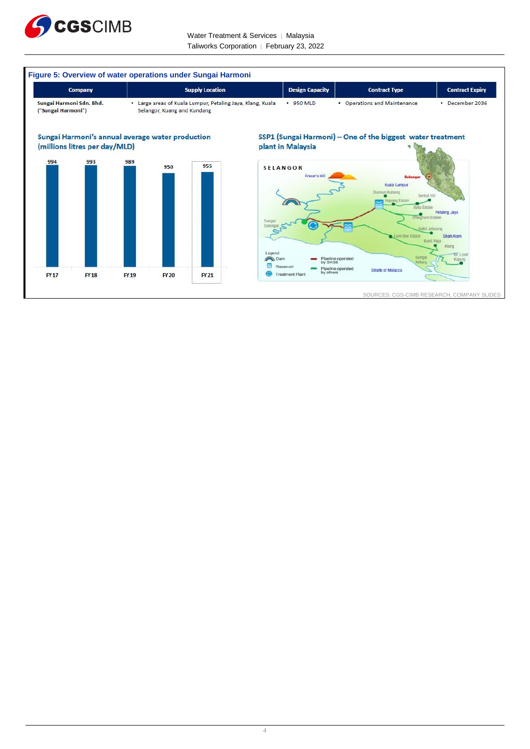

Water Treatment & Services | Malaysia Taliworks Corporation │ February 23, 2022

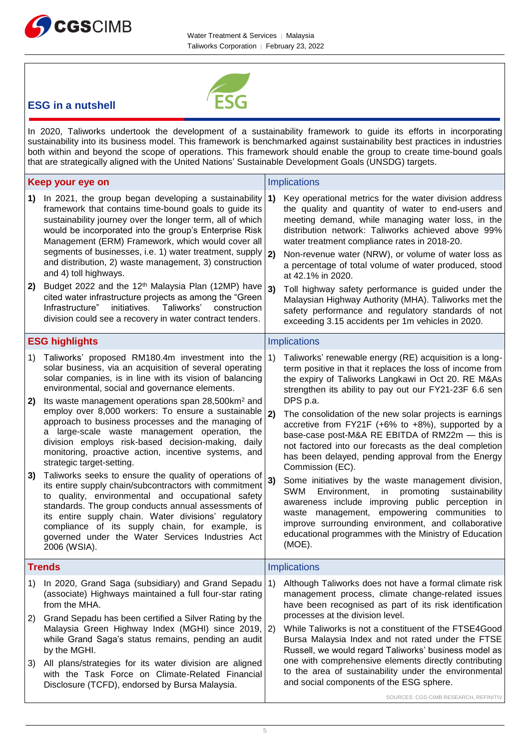



## **ESG in a nutshell**

In 2020, Taliworks undertook the development of a sustainability framework to guide its efforts in incorporating sustainability into its business model. This framework is benchmarked against sustainability best practices in industries both within and beyond the scope of operations. This framework should enable the group to create time-bound goals that are strategically aligned with the United Nations' Sustainable Development Goals (UNSDG) targets.

|                | Keep your eye on                                                                                                                                                                                                                                                                                                                                                                                                                                                                                                                                                                                                                                                                                                                                                                                                                                                                                                                                                                                                         |          | <b>Implications</b>                                                                                                                                                                                                                                                                                                                                                                                                                                                                                                                                                                                                                                                                                                                                                                                                                                                                                        |
|----------------|--------------------------------------------------------------------------------------------------------------------------------------------------------------------------------------------------------------------------------------------------------------------------------------------------------------------------------------------------------------------------------------------------------------------------------------------------------------------------------------------------------------------------------------------------------------------------------------------------------------------------------------------------------------------------------------------------------------------------------------------------------------------------------------------------------------------------------------------------------------------------------------------------------------------------------------------------------------------------------------------------------------------------|----------|------------------------------------------------------------------------------------------------------------------------------------------------------------------------------------------------------------------------------------------------------------------------------------------------------------------------------------------------------------------------------------------------------------------------------------------------------------------------------------------------------------------------------------------------------------------------------------------------------------------------------------------------------------------------------------------------------------------------------------------------------------------------------------------------------------------------------------------------------------------------------------------------------------|
| 1)<br>2)       | In 2021, the group began developing a sustainability $ 1\rangle$<br>framework that contains time-bound goals to guide its<br>sustainability journey over the longer term, all of which<br>would be incorporated into the group's Enterprise Risk<br>Management (ERM) Framework, which would cover all<br>segments of businesses, i.e. 1) water treatment, supply<br>and distribution, 2) waste management, 3) construction<br>and 4) toll highways.<br>Budget 2022 and the 12 <sup>th</sup> Malaysia Plan (12MP) have<br>cited water infrastructure projects as among the "Green"<br>Infrastructure"<br>initiatives.<br>Taliworks'<br>construction<br>division could see a recovery in water contract tenders.                                                                                                                                                                                                                                                                                                           | 2)<br>3) | Key operational metrics for the water division address<br>the quality and quantity of water to end-users and<br>meeting demand, while managing water loss, in the<br>distribution network: Taliworks achieved above 99%<br>water treatment compliance rates in 2018-20.<br>Non-revenue water (NRW), or volume of water loss as<br>a percentage of total volume of water produced, stood<br>at 42.1% in 2020.<br>Toll highway safety performance is guided under the<br>Malaysian Highway Authority (MHA). Taliworks met the<br>safety performance and regulatory standards of not<br>exceeding 3.15 accidents per 1m vehicles in 2020.                                                                                                                                                                                                                                                                     |
|                | <b>ESG highlights</b>                                                                                                                                                                                                                                                                                                                                                                                                                                                                                                                                                                                                                                                                                                                                                                                                                                                                                                                                                                                                    |          | <b>Implications</b>                                                                                                                                                                                                                                                                                                                                                                                                                                                                                                                                                                                                                                                                                                                                                                                                                                                                                        |
| 1)<br>2)<br>3) | Taliworks' proposed RM180.4m investment into the<br>solar business, via an acquisition of several operating<br>solar companies, is in line with its vision of balancing<br>environmental, social and governance elements.<br>Its waste management operations span 28,500km <sup>2</sup> and<br>employ over 8,000 workers: To ensure a sustainable 2)<br>approach to business processes and the managing of<br>a large-scale waste management operation, the<br>division employs risk-based decision-making,<br>daily<br>monitoring, proactive action, incentive systems, and<br>strategic target-setting.<br>Taliworks seeks to ensure the quality of operations of<br>its entire supply chain/subcontractors with commitment<br>to quality, environmental and occupational safety<br>standards. The group conducts annual assessments of<br>its entire supply chain. Water divisions' regulatory<br>compliance of its supply chain, for example, is<br>governed under the Water Services Industries Act<br>2006 (WSIA). | 1)<br>3) | Taliworks' renewable energy (RE) acquisition is a long-<br>term positive in that it replaces the loss of income from<br>the expiry of Taliworks Langkawi in Oct 20. RE M&As<br>strengthen its ability to pay out our FY21-23F 6.6 sen<br>DPS p.a.<br>The consolidation of the new solar projects is earnings<br>accretive from FY21F (+6% to +8%), supported by a<br>base-case post-M&A RE EBITDA of RM22m - this is<br>not factored into our forecasts as the deal completion<br>has been delayed, pending approval from the Energy<br>Commission (EC).<br>Some initiatives by the waste management division,<br><b>SWM</b><br>Environment, in<br>promoting<br>sustainability<br>awareness include improving public perception in<br>waste management, empowering communities to<br>improve surrounding environment, and collaborative<br>educational programmes with the Ministry of Education<br>(MOE). |
|                | <b>Trends</b>                                                                                                                                                                                                                                                                                                                                                                                                                                                                                                                                                                                                                                                                                                                                                                                                                                                                                                                                                                                                            |          | Implications                                                                                                                                                                                                                                                                                                                                                                                                                                                                                                                                                                                                                                                                                                                                                                                                                                                                                               |
| 1)<br>2)       | In 2020, Grand Saga (subsidiary) and Grand Sepadu   1)<br>(associate) Highways maintained a full four-star rating<br>from the MHA.<br>Grand Sepadu has been certified a Silver Rating by the                                                                                                                                                                                                                                                                                                                                                                                                                                                                                                                                                                                                                                                                                                                                                                                                                             |          | Although Taliworks does not have a formal climate risk<br>management process, climate change-related issues<br>have been recognised as part of its risk identification<br>processes at the division level.                                                                                                                                                                                                                                                                                                                                                                                                                                                                                                                                                                                                                                                                                                 |
|                | Malaysia Green Highway Index (MGHI) since 2019, 2)<br>while Grand Saga's status remains, pending an audit<br>by the MGHI.                                                                                                                                                                                                                                                                                                                                                                                                                                                                                                                                                                                                                                                                                                                                                                                                                                                                                                |          | While Taliworks is not a constituent of the FTSE4Good<br>Bursa Malaysia Index and not rated under the FTSE<br>Russell, we would regard Taliworks' business model as<br>one with comprehensive elements directly contributing                                                                                                                                                                                                                                                                                                                                                                                                                                                                                                                                                                                                                                                                               |
| 3)             | All plans/strategies for its water division are aligned<br>with the Task Force on Climate-Related Financial<br>Disclosure (TCFD), endorsed by Bursa Malaysia.                                                                                                                                                                                                                                                                                                                                                                                                                                                                                                                                                                                                                                                                                                                                                                                                                                                            |          | to the area of sustainability under the environmental<br>and social components of the ESG sphere.<br>SOURCES: CGS-CIMB RESEARCH, REFINITIV                                                                                                                                                                                                                                                                                                                                                                                                                                                                                                                                                                                                                                                                                                                                                                 |
|                |                                                                                                                                                                                                                                                                                                                                                                                                                                                                                                                                                                                                                                                                                                                                                                                                                                                                                                                                                                                                                          |          |                                                                                                                                                                                                                                                                                                                                                                                                                                                                                                                                                                                                                                                                                                                                                                                                                                                                                                            |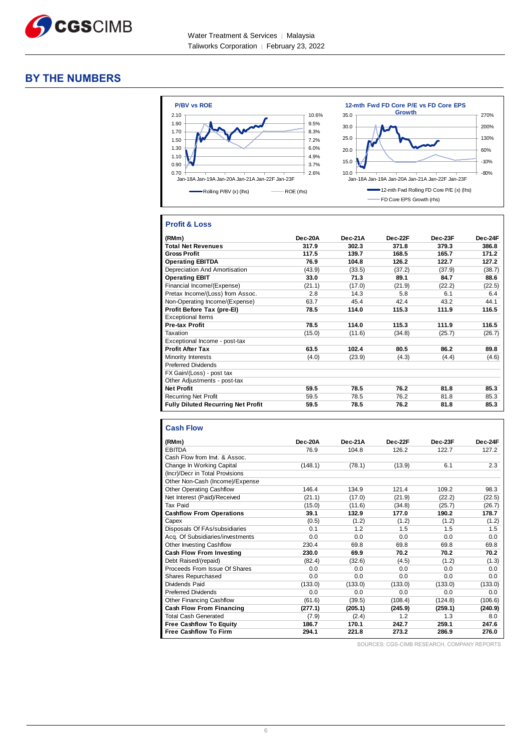

#### **BY THE NUMBERS**



#### **Profit & Loss**

| (RMm)                                     | Dec-20A | Dec-21A | Dec-22F | Dec-23F | Dec-24F |
|-------------------------------------------|---------|---------|---------|---------|---------|
| <b>Total Net Revenues</b>                 | 317.9   | 302.3   | 371.8   | 379.3   | 386.8   |
| <b>Gross Profit</b>                       | 117.5   | 139.7   | 168.5   | 165.7   | 171.2   |
| <b>Operating EBITDA</b>                   | 76.9    | 104.8   | 126.2   | 122.7   | 127.2   |
| Depreciation And Amortisation             | (43.9)  | (33.5)  | (37.2)  | (37.9)  | (38.7)  |
| <b>Operating EBIT</b>                     | 33.0    | 71.3    | 89.1    | 84.7    | 88.6    |
| Financial Income/(Expense)                | (21.1)  | (17.0)  | (21.9)  | (22.2)  | (22.5)  |
| Pretax Income/(Loss) from Assoc.          | 2.8     | 14.3    | 5.8     | 6.1     | 6.4     |
| Non-Operating Income/(Expense)            | 63.7    | 45.4    | 42.4    | 43.2    | 44.1    |
| Profit Before Tax (pre-El)                | 78.5    | 114.0   | 115.3   | 111.9   | 116.5   |
| <b>Exceptional Items</b>                  |         |         |         |         |         |
| <b>Pre-tax Profit</b>                     | 78.5    | 114.0   | 115.3   | 111.9   | 116.5   |
| Taxation                                  | (15.0)  | (11.6)  | (34.8)  | (25.7)  | (26.7)  |
| Exceptional Income - post-tax             |         |         |         |         |         |
| <b>Profit After Tax</b>                   | 63.5    | 102.4   | 80.5    | 86.2    | 89.8    |
| Minority Interests                        | (4.0)   | (23.9)  | (4.3)   | (4.4)   | (4.6)   |
| <b>Preferred Dividends</b>                |         |         |         |         |         |
| FX Gain/(Loss) - post tax                 |         |         |         |         |         |
| Other Adjustments - post-tax              |         |         |         |         |         |
| <b>Net Profit</b>                         | 59.5    | 78.5    | 76.2    | 81.8    | 85.3    |
| <b>Recurring Net Profit</b>               | 59.5    | 78.5    | 76.2    | 81.8    | 85.3    |
| <b>Fully Diluted Recurring Net Profit</b> | 59.5    | 78.5    | 76.2    | 81.8    | 85.3    |

#### **Cash Flow**

| (RMm)                            | Dec-20A | Dec-21A | Dec-22F | Dec-23F | Dec-24F |
|----------------------------------|---------|---------|---------|---------|---------|
| <b>EBITDA</b>                    | 76.9    | 104.8   | 126.2   | 122.7   | 127.2   |
| Cash Flow from Invt. & Assoc.    |         |         |         |         |         |
| Change In Working Capital        | (148.1) | (78.1)  | (13.9)  | 6.1     | 2.3     |
| (Incr)/Decr in Total Provisions  |         |         |         |         |         |
| Other Non-Cash (Income)/Expense  |         |         |         |         |         |
| <b>Other Operating Cashflow</b>  | 146.4   | 134.9   | 121.4   | 109.2   | 98.3    |
| Net Interest (Paid)/Received     | (21.1)  | (17.0)  | (21.9)  | (22.2)  | (22.5)  |
| <b>Tax Paid</b>                  | (15.0)  | (11.6)  | (34.8)  | (25.7)  | (26.7)  |
| <b>Cashflow From Operations</b>  | 39.1    | 132.9   | 177.0   | 190.2   | 178.7   |
| Capex                            | (0.5)   | (1.2)   | (1.2)   | (1.2)   | (1.2)   |
| Disposals Of FAs/subsidiaries    | 0.1     | 1.2     | 1.5     | 1.5     | 1.5     |
| Acq. Of Subsidiaries/investments | 0.0     | 0.0     | 0.0     | 0.0     | 0.0     |
| <b>Other Investing Cashflow</b>  | 230.4   | 69.8    | 69.8    | 69.8    | 69.8    |
| Cash Flow From Investing         | 230.0   | 69.9    | 70.2    | 70.2    | 70.2    |
| Debt Raised/(repaid)             | (82.4)  | (32.6)  | (4.5)   | (1.2)   | (1.3)   |
| Proceeds From Issue Of Shares    | 0.0     | 0.0     | 0.0     | 0.0     | 0.0     |
| Shares Repurchased               | 0.0     | 0.0     | 0.0     | 0.0     | 0.0     |
| Dividends Paid                   | (133.0) | (133.0) | (133.0) | (133.0) | (133.0) |
| <b>Preferred Dividends</b>       | 0.0     | 0.0     | 0.0     | 0.0     | 0.0     |
| <b>Other Financing Cashflow</b>  | (61.6)  | (39.5)  | (108.4) | (124.8) | (106.6) |
| <b>Cash Flow From Financing</b>  | (277.1) | (205.1) | (245.9) | (259.1) | (240.9) |
| <b>Total Cash Generated</b>      | (7.9)   | (2.4)   | 1.2     | 1.3     | 8.0     |
| <b>Free Cashflow To Equity</b>   | 186.7   | 170.1   | 242.7   | 259.1   | 247.6   |
| <b>Free Cashflow To Firm</b>     | 294.1   | 221.8   | 273.2   | 286.9   | 276.0   |

SOURCES: CGS-CIMB RESEARCH, COMPANY REPORTS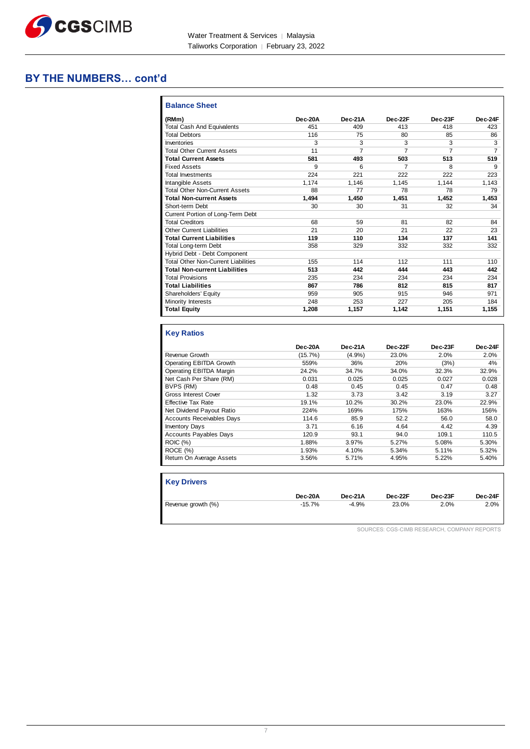

### **BY THE NUMBERS… cont'd**

| <b>Balance Sheet</b>                       |         |           |                |           |                |
|--------------------------------------------|---------|-----------|----------------|-----------|----------------|
| (RMm)                                      | Dec-20A | $Dec-21A$ | Dec-22F        | $Dec-23F$ | Dec-24F        |
| <b>Total Cash And Equivalents</b>          | 451     | 409       | 413            | 418       | 423            |
| <b>Total Debtors</b>                       | 116     | 75        | 80             | 85        | 86             |
| Inventories                                | 3       | 3         | 3              | 3         | 3              |
| <b>Total Other Current Assets</b>          | 11      | 7         | 7              | 7         | $\overline{7}$ |
| <b>Total Current Assets</b>                | 581     | 493       | 503            | 513       | 519            |
| <b>Fixed Assets</b>                        | 9       | 6         | $\overline{7}$ | 8         | 9              |
| Total Investments                          | 224     | 221       | 222            | 222       | 223            |
| Intangible Assets                          | 1.174   | 1,146     | 1,145          | 1.144     | 1.143          |
| <b>Total Other Non-Current Assets</b>      | 88      | 77        | 78             | 78        | 79             |
| <b>Total Non-current Assets</b>            | 1.494   | 1.450     | 1.451          | 1.452     | 1,453          |
| Short-term Debt                            | 30      | 30        | 31             | 32        | 34             |
| Current Portion of Long-Term Debt          |         |           |                |           |                |
| <b>Total Creditors</b>                     | 68      | 59        | 81             | 82        | 84             |
| <b>Other Current Liabilities</b>           | 21      | 20        | 21             | 22        | 23             |
| <b>Total Current Liabilities</b>           | 119     | 110       | 134            | 137       | 141            |
| <b>Total Long-term Debt</b>                | 358     | 329       | 332            | 332       | 332            |
| Hybrid Debt - Debt Component               |         |           |                |           |                |
| <b>Total Other Non-Current Liabilities</b> | 155     | 114       | 112            | 111       | 110            |
| <b>Total Non-current Liabilities</b>       | 513     | 442       | 444            | 443       | 442            |
| <b>Total Provisions</b>                    | 235     | 234       | 234            | 234       | 234            |
| <b>Total Liabilities</b>                   | 867     | 786       | 812            | 815       | 817            |
| Shareholders' Equity                       | 959     | 905       | 915            | 946       | 971            |
| Minority Interests                         | 248     | 253       | 227            | 205       | 184            |
| <b>Total Equity</b>                        | 1,208   | 1,157     | 1,142          | 1,151     | 1,155          |

#### **Key Ratios**

|                                  | Dec-20A | Dec-21A | Dec-22F | Dec-23F | Dec-24F |
|----------------------------------|---------|---------|---------|---------|---------|
| Revenue Growth                   | (15.7%) | (4.9%   | 23.0%   | 2.0%    | 2.0%    |
| Operating EBITDA Growth          | 559%    | 36%     | 20%     | (3%)    | 4%      |
| Operating EBITDA Margin          | 24.2%   | 34.7%   | 34.0%   | 32.3%   | 32.9%   |
| Net Cash Per Share (RM)          | 0.031   | 0.025   | 0.025   | 0.027   | 0.028   |
| BVPS (RM)                        | 0.48    | 0.45    | 0.45    | 0.47    | 0.48    |
| <b>Gross Interest Cover</b>      | 1.32    | 3.73    | 3.42    | 3.19    | 3.27    |
| <b>Effective Tax Rate</b>        | 19.1%   | 10.2%   | 30.2%   | 23.0%   | 22.9%   |
| Net Dividend Payout Ratio        | 224%    | 169%    | 175%    | 163%    | 156%    |
| <b>Accounts Receivables Days</b> | 114.6   | 85.9    | 52.2    | 56.0    | 58.0    |
| <b>Inventory Days</b>            | 3.71    | 6.16    | 4.64    | 4.42    | 4.39    |
| <b>Accounts Payables Days</b>    | 120.9   | 93.1    | 94.0    | 109.1   | 110.5   |
| <b>ROIC (%)</b>                  | 1.88%   | 3.97%   | 5.27%   | 5.08%   | 5.30%   |
| ROCE(%)                          | 1.93%   | 4.10%   | 5.34%   | 5.11%   | 5.32%   |
| Return On Average Assets         | 3.56%   | 5.71%   | 4.95%   | 5.22%   | 5.40%   |

| <b>Key Drivers</b> |          |         |         |         |         |
|--------------------|----------|---------|---------|---------|---------|
|                    | Dec-20A  | Dec-21A | Dec-22F | Dec-23F | Dec-24F |
| Revenue growth (%) | $-15.7%$ | $-4.9%$ | 23.0%   | 2.0%    | 2.0%    |

SOURCES: CGS-CIMB RESEARCH, COMPANY REPORTS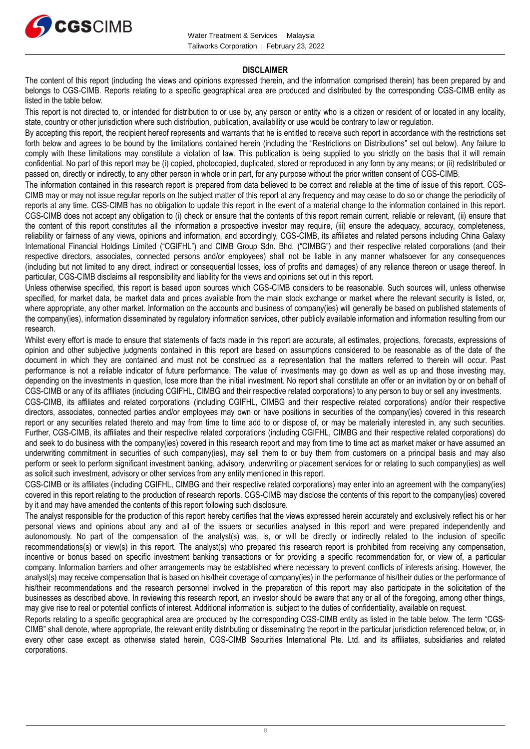

#### **DISCLAIMER**

The content of this report (including the views and opinions expressed therein, and the information comprised therein) has been prepared by and belongs to CGS-CIMB. Reports relating to a specific geographical area are produced and distributed by the corresponding CGS-CIMB entity as listed in the table below.

This report is not directed to, or intended for distribution to or use by, any person or entity who is a citizen or resident of or located in any locality, state, country or other jurisdiction where such distribution, publication, availability or use would be contrary to law or regulation.

By accepting this report, the recipient hereof represents and warrants that he is entitled to receive such report in accordance with the restrictions set forth below and agrees to be bound by the limitations contained herein (including the "Restrictions on Distributions" set out below). Any failure to comply with these limitations may constitute a violation of law. This publication is being supplied to you strictly on the basis that it will remain confidential. No part of this report may be (i) copied, photocopied, duplicated, stored or reproduced in any form by any means; or (ii) redistributed or passed on, directly or indirectly, to any other person in whole or in part, for any purpose without the prior written consent of CGS-CIMB.

The information contained in this research report is prepared from data believed to be correct and reliable at the time of issue of this report. CGS-CIMB may or may not issue regular reports on the subject matter of this report at any frequency and may cease to do so or change the periodicity of reports at any time. CGS-CIMB has no obligation to update this report in the event of a material change to the information contained in this report. CGS-CIMB does not accept any obligation to (i) check or ensure that the contents of this report remain current, reliable or relevant, (ii) ensure that the content of this report constitutes all the information a prospective investor may require, (iii) ensure the adequacy, accuracy, completeness, reliability or fairness of any views, opinions and information, and accordingly, CGS-CIMB, its affiliates and related persons including China Galaxy International Financial Holdings Limited ("CGIFHL") and CIMB Group Sdn. Bhd. ("CIMBG") and their respective related corporations (and their respective directors, associates, connected persons and/or employees) shall not be liable in any manner whatsoever for any consequences (including but not limited to any direct, indirect or consequential losses, loss of profits and damages) of any reliance thereon or usage thereof. In particular, CGS-CIMB disclaims all responsibility and liability for the views and opinions set out in this report.

Unless otherwise specified, this report is based upon sources which CGS-CIMB considers to be reasonable. Such sources will, unless otherwise specified, for market data, be market data and prices available from the main stock exchange or market where the relevant security is listed, or, where appropriate, any other market. Information on the accounts and business of company(ies) will generally be based on published statements of the company(ies), information disseminated by regulatory information services, other publicly available information and information resulting from our research.

Whilst every effort is made to ensure that statements of facts made in this report are accurate, all estimates, projections, forecasts, expressions of opinion and other subjective judgments contained in this report are based on assumptions considered to be reasonable as of the date of the document in which they are contained and must not be construed as a representation that the matters referred to therein will occur. Past performance is not a reliable indicator of future performance. The value of investments may go down as well as up and those investing may, depending on the investments in question, lose more than the initial investment. No report shall constitute an offer or an invitation by or on behalf of CGS-CIMB or any of its affiliates (including CGIFHL, CIMBG and their respective related corporations) to any person to buy or sell any investments.

CGS-CIMB, its affiliates and related corporations (including CGIFHL, CIMBG and their respective related corporations) and/or their respective directors, associates, connected parties and/or employees may own or have positions in securities of the company(ies) covered in this research report or any securities related thereto and may from time to time add to or dispose of, or may be materially interested in, any such securities. Further, CGS-CIMB, its affiliates and their respective related corporations (including CGIFHL, CIMBG and their respective related corporations) do and seek to do business with the company(ies) covered in this research report and may from time to time act as market maker or have assumed an underwriting commitment in securities of such company(ies), may sell them to or buy them from customers on a principal basis and may also perform or seek to perform significant investment banking, advisory, underwriting or placement services for or relating to such company(ies) as well as solicit such investment, advisory or other services from any entity mentioned in this report.

CGS-CIMB or its affiliates (including CGIFHL, CIMBG and their respective related corporations) may enter into an agreement with the company(ies) covered in this report relating to the production of research reports. CGS-CIMB may disclose the contents of this report to the company(ies) covered by it and may have amended the contents of this report following such disclosure.

The analyst responsible for the production of this report hereby certifies that the views expressed herein accurately and exclusively reflect his or her personal views and opinions about any and all of the issuers or securities analysed in this report and were prepared independently and autonomously. No part of the compensation of the analyst(s) was, is, or will be directly or indirectly related to the inclusion of specific recommendations(s) or view(s) in this report. The analyst(s) who prepared this research report is prohibited from receiving any compensation, incentive or bonus based on specific investment banking transactions or for providing a specific recommendation for, or view of, a particular company. Information barriers and other arrangements may be established where necessary to prevent conflicts of interests arising. However, the analyst(s) may receive compensation that is based on his/their coverage of company(ies) in the performance of his/their duties or the performance of his/their recommendations and the research personnel involved in the preparation of this report may also participate in the solicitation of the businesses as described above. In reviewing this research report, an investor should be aware that any or all of the foregoing, among other things, may give rise to real or potential conflicts of interest. Additional information is, subject to the duties of confidentiality, available on request.

Reports relating to a specific geographical area are produced by the corresponding CGS-CIMB entity as listed in the table below. The term "CGS-CIMB" shall denote, where appropriate, the relevant entity distributing or disseminating the report in the particular jurisdiction referenced below, or, in every other case except as otherwise stated herein, CGS-CIMB Securities International Pte. Ltd. and its affiliates, subsidiaries and related corporations.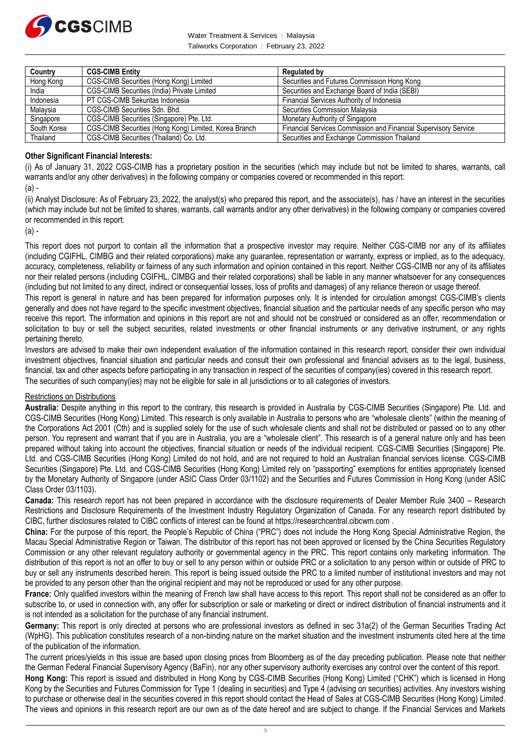

Water Treatment & Services | Malaysia Taliworks Corporation │ February 23, 2022

| Country     | <b>CGS-CIMB Entity</b>                                | Regulated by                                                           |
|-------------|-------------------------------------------------------|------------------------------------------------------------------------|
| Hong Kong   | CGS-CIMB Securities (Hong Kong) Limited               | Securities and Futures Commission Hong Kong                            |
| India       | CGS-CIMB Securities (India) Private Limited           | Securities and Exchange Board of India (SEBI)                          |
| Indonesia   | PT CGS-CIMB Sekuritas Indonesia                       | Financial Services Authority of Indonesia                              |
| Malaysia    | CGS-CIMB Securities Sdn. Bhd.                         | Securities Commission Malaysia                                         |
| Singapore   | CGS-CIMB Securities (Singapore) Pte. Ltd.             | Monetary Authority of Singapore                                        |
| South Korea | CGS-CIMB Securities (Hong Kong) Limited, Korea Branch | <b>Financial Services Commission and Financial Supervisory Service</b> |
| Thailand    | CGS-CIMB Securities (Thailand) Co. Ltd.               | Securities and Exchange Commission Thailand                            |

#### **Other Significant Financial Interests:**

(i) As of January 31, 2022 CGS-CIMB has a proprietary position in the securities (which may include but not be limited to shares, warrants, call warrants and/or any other derivatives) in the following company or companies covered or recommended in this report:

(a) -

(ii) Analyst Disclosure: As of February 23, 2022, the analyst(s) who prepared this report, and the associate(s), has / have an interest in the securities (which may include but not be limited to shares, warrants, call warrants and/or any other derivatives) in the following company or companies covered or recommended in this report:

(a) -

This report does not purport to contain all the information that a prospective investor may require. Neither CGS-CIMB nor any of its affiliates (including CGIFHL, CIMBG and their related corporations) make any guarantee, representation or warranty, express or implied, as to the adequacy, accuracy, completeness, reliability or fairness of any such information and opinion contained in this report. Neither CGS-CIMB nor any of its affiliates nor their related persons (including CGIFHL, CIMBG and their related corporations) shall be liable in any manner whatsoever for any consequences (including but not limited to any direct, indirect or consequential losses, loss of profits and damages) of any reliance thereon or usage thereof.

This report is general in nature and has been prepared for information purposes only. It is intended for circulation amongst CGS-CIMB's clients generally and does not have regard to the specific investment objectives, financial situation and the particular needs of any specific person who may receive this report. The information and opinions in this report are not and should not be construed or considered as an offer, recommendation or solicitation to buy or sell the subject securities, related investments or other financial instruments or any derivative instrument, or any rights pertaining thereto.

Investors are advised to make their own independent evaluation of the information contained in this research report, consider their own individual investment objectives, financial situation and particular needs and consult their own professional and financial advisers as to the legal, business, financial, tax and other aspects before participating in any transaction in respect of the securities of company(ies) covered in this research report. The securities of such company(ies) may not be eligible for sale in all jurisdictions or to all categories of investors.

#### Restrictions on Distributions

**Australia:** Despite anything in this report to the contrary, this research is provided in Australia by CGS-CIMB Securities (Singapore) Pte. Ltd. and CGS-CIMB Securities (Hong Kong) Limited. This research is only available in Australia to persons who are "wholesale clients" (within the meaning of the Corporations Act 2001 (Cth) and is supplied solely for the use of such wholesale clients and shall not be distributed or passed on to any other person. You represent and warrant that if you are in Australia, you are a "wholesale client". This research is of a general nature only and has been prepared without taking into account the objectives, financial situation or needs of the individual recipient. CGS-CIMB Securities (Singapore) Pte. Ltd. and CGS-CIMB Securities (Hong Kong) Limited do not hold, and are not required to hold an Australian financial services license. CGS-CIMB Securities (Singapore) Pte. Ltd. and CGS-CIMB Securities (Hong Kong) Limited rely on "passporting" exemptions for entities appropriately licensed by the Monetary Authority of Singapore (under ASIC Class Order 03/1102) and the Securities and Futures Commission in Hong Kong (under ASIC Class Order 03/1103).

**Canada:** This research report has not been prepared in accordance with the disclosure requirements of Dealer Member Rule 3400 – Research Restrictions and Disclosure Requirements of the Investment Industry Regulatory Organization of Canada. For any research report distributed by CIBC, further disclosures related to CIBC conflicts of interest can be found at https://researchcentral.cibcwm.com .

**China:** For the purpose of this report, the People's Republic of China ("PRC") does not include the Hong Kong Special Administrative Region, the Macau Special Administrative Region or Taiwan. The distributor of this report has not been approved or licensed by the China Securities Regulatory Commission or any other relevant regulatory authority or governmental agency in the PRC. This report contains only marketing information. The distribution of this report is not an offer to buy or sell to any person within or outside PRC or a solicitation to any person within or outside of PRC to buy or sell any instruments described herein. This report is being issued outside the PRC to a limited number of institutional investors and may not be provided to any person other than the original recipient and may not be reproduced or used for any other purpose.

**France:** Only qualified investors within the meaning of French law shall have access to this report. This report shall not be considered as an offer to subscribe to, or used in connection with, any offer for subscription or sale or marketing or direct or indirect distribution of financial instruments and it is not intended as a solicitation for the purchase of any financial instrument.

**Germany:** This report is only directed at persons who are professional investors as defined in sec 31a(2) of the German Securities Trading Act (WpHG). This publication constitutes research of a non-binding nature on the market situation and the investment instruments cited here at the time of the publication of the information.

The current prices/yields in this issue are based upon closing prices from Bloomberg as of the day preceding publication. Please note that neither the German Federal Financial Supervisory Agency (BaFin), nor any other supervisory authority exercises any control over the content of this report.

**Hong Kong:** This report is issued and distributed in Hong Kong by CGS-CIMB Securities (Hong Kong) Limited ("CHK") which is licensed in Hong Kong by the Securities and Futures Commission for Type 1 (dealing in securities) and Type 4 (advising on securities) activities. Any investors wishing to purchase or otherwise deal in the securities covered in this report should contact the Head of Sales at CGS-CIMB Securities (Hong Kong) Limited. The views and opinions in this research report are our own as of the date hereof and are subject to change. If the Financial Services and Markets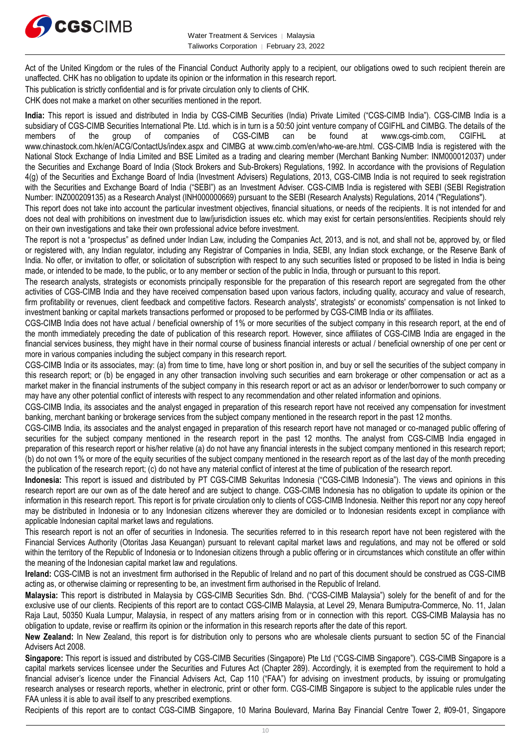

Act of the United Kingdom or the rules of the Financial Conduct Authority apply to a recipient, our obligations owed to such recipient therein are unaffected. CHK has no obligation to update its opinion or the information in this research report.

This publication is strictly confidential and is for private circulation only to clients of CHK.

CHK does not make a market on other securities mentioned in the report.

**India:** This report is issued and distributed in India by CGS-CIMB Securities (India) Private Limited ("CGS-CIMB India"). CGS-CIMB India is a subsidiary of CGS-CIMB Securities International Pte. Ltd. which is in turn is a 50:50 joint venture company of CGIFHL and CIMBG. The details of the members of the group of companies of CGS-CIMB can be found at www.cos-cimb members of the group of companies of CGS-CIMB can be found at www.cgs-cimb.com, CGIFHL at www.chinastock.com.hk/en/ACG/ContactUs/index.aspx and CIMBG at www.cimb.com/en/who-we-are.html. CGS-CIMB India is registered with the National Stock Exchange of India Limited and BSE Limited as a trading and clearing member (Merchant Banking Number: INM000012037) under the Securities and Exchange Board of India (Stock Brokers and Sub-Brokers) Regulations, 1992. In accordance with the provisions of Regulation 4(g) of the Securities and Exchange Board of India (Investment Advisers) Regulations, 2013, CGS-CIMB India is not required to seek registration with the Securities and Exchange Board of India ("SEBI") as an Investment Adviser. CGS-CIMB India is registered with SEBI (SEBI Registration Number: INZ000209135) as a Research Analyst (INH000000669) pursuant to the SEBI (Research Analysts) Regulations, 2014 ("Regulations").

This report does not take into account the particular investment objectives, financial situations, or needs of the recipients. It is not intended for and does not deal with prohibitions on investment due to law/jurisdiction issues etc. which may exist for certain persons/entities. Recipients should rely on their own investigations and take their own professional advice before investment.

The report is not a "prospectus" as defined under Indian Law, including the Companies Act, 2013, and is not, and shall not be, approved by, or filed or registered with, any Indian regulator, including any Registrar of Companies in India, SEBI, any Indian stock exchange, or the Reserve Bank of India. No offer, or invitation to offer, or solicitation of subscription with respect to any such securities listed or proposed to be listed in India is being made, or intended to be made, to the public, or to any member or section of the public in India, through or pursuant to this report.

The research analysts, strategists or economists principally responsible for the preparation of this research report are segregated from the other activities of CGS-CIMB India and they have received compensation based upon various factors, including quality, accuracy and value of research, firm profitability or revenues, client feedback and competitive factors. Research analysts', strategists' or economists' compensation is not linked to investment banking or capital markets transactions performed or proposed to be performed by CGS-CIMB India or its affiliates.

CGS-CIMB India does not have actual / beneficial ownership of 1% or more securities of the subject company in this research report, at the end of the month immediately preceding the date of publication of this research report. However, since affiliates of CGS-CIMB India are engaged in the financial services business, they might have in their normal course of business financial interests or actual / beneficial ownership of one per cent or more in various companies including the subject company in this research report.

CGS-CIMB India or its associates, may: (a) from time to time, have long or short position in, and buy or sell the securities of the subject company in this research report; or (b) be engaged in any other transaction involving such securities and earn brokerage or other compensation or act as a market maker in the financial instruments of the subject company in this research report or act as an advisor or lender/borrower to such company or may have any other potential conflict of interests with respect to any recommendation and other related information and opinions.

CGS-CIMB India, its associates and the analyst engaged in preparation of this research report have not received any compensation for investment banking, merchant banking or brokerage services from the subject company mentioned in the research report in the past 12 months.

CGS-CIMB India, its associates and the analyst engaged in preparation of this research report have not managed or co-managed public offering of securities for the subject company mentioned in the research report in the past 12 months. The analyst from CGS-CIMB India engaged in preparation of this research report or his/her relative (a) do not have any financial interests in the subject company mentioned in this research report; (b) do not own 1% or more of the equity securities of the subject company mentioned in the research report as of the last day of the month preceding the publication of the research report; (c) do not have any material conflict of interest at the time of publication of the research report.

**Indonesia:** This report is issued and distributed by PT CGS-CIMB Sekuritas Indonesia ("CGS-CIMB Indonesia"). The views and opinions in this research report are our own as of the date hereof and are subject to change. CGS-CIMB Indonesia has no obligation to update its opinion or the information in this research report. This report is for private circulation only to clients of CGS-CIMB Indonesia. Neither this report nor any copy hereof may be distributed in Indonesia or to any Indonesian citizens wherever they are domiciled or to Indonesian residents except in compliance with applicable Indonesian capital market laws and regulations.

This research report is not an offer of securities in Indonesia. The securities referred to in this research report have not been registered with the Financial Services Authority (Otoritas Jasa Keuangan) pursuant to relevant capital market laws and regulations, and may not be offered or sold within the territory of the Republic of Indonesia or to Indonesian citizens through a public offering or in circumstances which constitute an offer within the meaning of the Indonesian capital market law and regulations.

**Ireland:** CGS-CIMB is not an investment firm authorised in the Republic of Ireland and no part of this document should be construed as CGS-CIMB acting as, or otherwise claiming or representing to be, an investment firm authorised in the Republic of Ireland.

**Malaysia:** This report is distributed in Malaysia by CGS-CIMB Securities Sdn. Bhd. ("CGS-CIMB Malaysia") solely for the benefit of and for the exclusive use of our clients. Recipients of this report are to contact CGS-CIMB Malaysia, at Level 29, Menara Bumiputra-Commerce, No. 11, Jalan Raja Laut, 50350 Kuala Lumpur, Malaysia, in respect of any matters arising from or in connection with this report. CGS-CIMB Malaysia has no obligation to update, revise or reaffirm its opinion or the information in this research reports after the date of this report.

**New Zealand:** In New Zealand, this report is for distribution only to persons who are wholesale clients pursuant to section 5C of the Financial Advisers Act 2008.

**Singapore:** This report is issued and distributed by CGS-CIMB Securities (Singapore) Pte Ltd ("CGS-CIMB Singapore"). CGS-CIMB Singapore is a capital markets services licensee under the Securities and Futures Act (Chapter 289). Accordingly, it is exempted from the requirement to hold a financial adviser's licence under the Financial Advisers Act, Cap 110 ("FAA") for advising on investment products, by issuing or promulgating research analyses or research reports, whether in electronic, print or other form. CGS-CIMB Singapore is subject to the applicable rules under the FAA unless it is able to avail itself to any prescribed exemptions.

Recipients of this report are to contact CGS-CIMB Singapore, 10 Marina Boulevard, Marina Bay Financial Centre Tower 2, #09-01, Singapore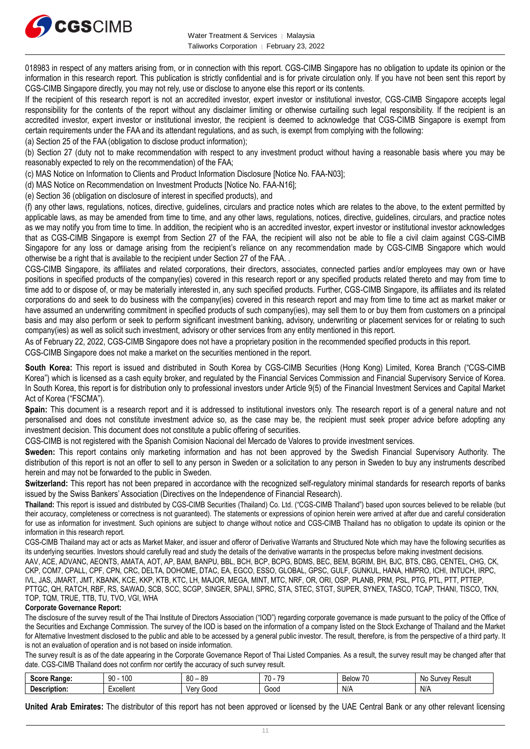

018983 in respect of any matters arising from, or in connection with this report. CGS-CIMB Singapore has no obligation to update its opinion or the information in this research report. This publication is strictly confidential and is for private circulation only. If you have not been sent this report by CGS-CIMB Singapore directly, you may not rely, use or disclose to anyone else this report or its contents.

If the recipient of this research report is not an accredited investor, expert investor or institutional investor, CGS-CIMB Singapore accepts legal responsibility for the contents of the report without any disclaimer limiting or otherwise curtailing such legal responsibility. If the recipient is an accredited investor, expert investor or institutional investor, the recipient is deemed to acknowledge that CGS-CIMB Singapore is exempt from certain requirements under the FAA and its attendant regulations, and as such, is exempt from complying with the following:

(a) Section 25 of the FAA (obligation to disclose product information);

(b) Section 27 (duty not to make recommendation with respect to any investment product without having a reasonable basis where you may be reasonably expected to rely on the recommendation) of the FAA;

(c) MAS Notice on Information to Clients and Product Information Disclosure [Notice No. FAA-N03];

(d) MAS Notice on Recommendation on Investment Products [Notice No. FAA-N16];

(e) Section 36 (obligation on disclosure of interest in specified products), and

(f) any other laws, regulations, notices, directive, guidelines, circulars and practice notes which are relates to the above, to the extent permitted by applicable laws, as may be amended from time to time, and any other laws, regulations, notices, directive, guidelines, circulars, and practice notes as we may notify you from time to time. In addition, the recipient who is an accredited investor, expert investor or institutional investor acknowledges that as CGS-CIMB Singapore is exempt from Section 27 of the FAA, the recipient will also not be able to file a civil claim against CGS-CIMB Singapore for any loss or damage arising from the recipient's reliance on any recommendation made by CGS-CIMB Singapore which would otherwise be a right that is available to the recipient under Section 27 of the FAA. .

CGS-CIMB Singapore, its affiliates and related corporations, their directors, associates, connected parties and/or employees may own or have positions in specified products of the company(ies) covered in this research report or any specified products related thereto and may from time to time add to or dispose of, or may be materially interested in, any such specified products. Further, CGS-CIMB Singapore, its affiliates and its related corporations do and seek to do business with the company(ies) covered in this research report and may from time to time act as market maker or have assumed an underwriting commitment in specified products of such company(ies), may sell them to or buy them from customers on a principal basis and may also perform or seek to perform significant investment banking, advisory, underwriting or placement services for or relating to such company(ies) as well as solicit such investment, advisory or other services from any entity mentioned in this report.

As of February 22, 2022, CGS-CIMB Singapore does not have a proprietary position in the recommended specified products in this report.

CGS-CIMB Singapore does not make a market on the securities mentioned in the report.

**South Korea:** This report is issued and distributed in South Korea by CGS-CIMB Securities (Hong Kong) Limited, Korea Branch ("CGS-CIMB Korea") which is licensed as a cash equity broker, and regulated by the Financial Services Commission and Financial Supervisory Service of Korea. In South Korea, this report is for distribution only to professional investors under Article 9(5) of the Financial Investment Services and Capital Market Act of Korea ("FSCMA").

**Spain:** This document is a research report and it is addressed to institutional investors only. The research report is of a general nature and not personalised and does not constitute investment advice so, as the case may be, the recipient must seek proper advice before adopting any investment decision. This document does not constitute a public offering of securities.

CGS-CIMB is not registered with the Spanish Comision Nacional del Mercado de Valores to provide investment services.

**Sweden:** This report contains only marketing information and has not been approved by the Swedish Financial Supervisory Authority. The distribution of this report is not an offer to sell to any person in Sweden or a solicitation to any person in Sweden to buy any instruments described herein and may not be forwarded to the public in Sweden.

**Switzerland:** This report has not been prepared in accordance with the recognized self-regulatory minimal standards for research reports of banks issued by the Swiss Bankers' Association (Directives on the Independence of Financial Research).

**Thailand:** This report is issued and distributed by CGS-CIMB Securities (Thailand) Co. Ltd. ("CGS-CIMB Thailand") based upon sources believed to be reliable (but their accuracy, completeness or correctness is not guaranteed). The statements or expressions of opinion herein were arrived at after due and careful consideration for use as information for investment. Such opinions are subject to change without notice and CGS-CIMB Thailand has no obligation to update its opinion or the information in this research report.

CGS-CIMB Thailand may act or acts as Market Maker, and issuer and offeror of Derivative Warrants and Structured Note which may have the following securities as its underlying securities. Investors should carefully read and study the details of the derivative warrants in the prospectus before making investment decisions.

AAV, ACE, ADVANC, AEONTS, AMATA, AOT, AP, BAM, BANPU, BBL, BCH, BCP, BCPG, BDMS, BEC, BEM, BGRIM, BH, BJC, BTS, CBG, CENTEL, CHG, CK, CKP, COM7, CPALL, CPF, CPN, CRC, DELTA, DOHOME, DTAC, EA, EGCO, ESSO, GLOBAL, GPSC, GULF, GUNKUL, HANA, HMPRO, ICHI, INTUCH, IRPC, IVL, JAS, JMART, JMT, KBANK, KCE, KKP, KTB, KTC, LH, MAJOR, MEGA, MINT, MTC, NRF, OR, ORI, OSP, PLANB, PRM, PSL, PTG, PTL, PTT, PTTEP, PTTGC, QH, RATCH, RBF, RS, SAWAD, SCB, SCC, SCGP, SINGER, SPALI, SPRC, STA, STEC, STGT, SUPER, SYNEX, TASCO, TCAP, THANI, TISCO, TKN, TOP, TQM, TRUE, TTB, TU, TVO, VGI, WHA

#### **Corporate Governance Report:**

The disclosure of the survey result of the Thai Institute of Directors Association ("IOD") regarding corporate governance is made pursuant to the policy of the Office of the Securities and Exchange Commission. The survey of the IOD is based on the information of a company listed on the Stock Exchange of Thailand and the Market for Alternative Investment disclosed to the public and able to be accessed by a general public investor. The result, therefore, is from the perspective of a third party. It is not an evaluation of operation and is not based on inside information.

The survey result is as of the date appearing in the Corporate Governance Report of Thai Listed Companies. As a result, the survey result may be changed after that date. CGS-CIMB Thailand does not confirm nor certify the accuracy of such survey result.

| SORF<br>Range:<br>ocor     | 100<br>ററ<br>$\cdot$ | <b>QC</b><br>R <sub>0</sub><br>vv<br>v. | 70<br>$\overline{\phantom{a}}$ | $\rightarrow$<br>$^{\prime}$<br><b>Below</b><br>. . | : Resul.<br>$m \wedge n$<br>oи<br>'NU |
|----------------------------|----------------------|-----------------------------------------|--------------------------------|-----------------------------------------------------|---------------------------------------|
| . .<br><b>Description:</b> | xcellent             | Good<br>verv                            | Good                           | N/t                                                 | N/A                                   |

**United Arab Emirates:** The distributor of this report has not been approved or licensed by the UAE Central Bank or any other relevant licensing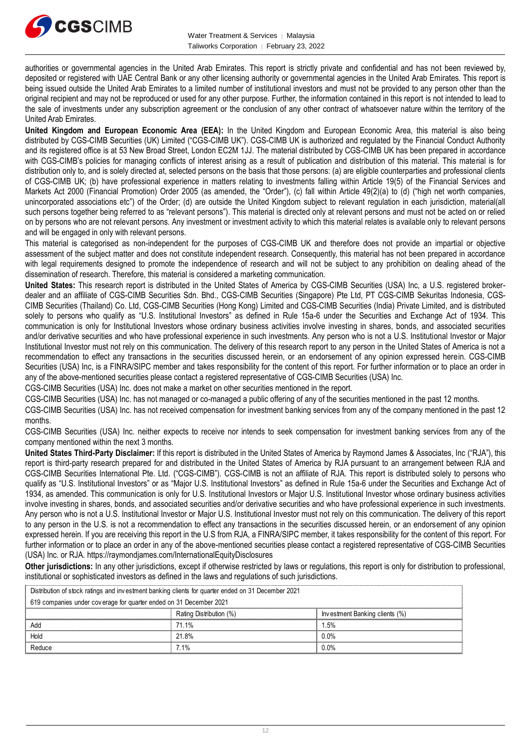

authorities or governmental agencies in the United Arab Emirates. This report is strictly private and confidential and has not been reviewed by, deposited or registered with UAE Central Bank or any other licensing authority or governmental agencies in the United Arab Emirates. This report is being issued outside the United Arab Emirates to a limited number of institutional investors and must not be provided to any person other than the original recipient and may not be reproduced or used for any other purpose. Further, the information contained in this report is not intended to lead to the sale of investments under any subscription agreement or the conclusion of any other contract of whatsoever nature within the territory of the United Arab Emirates.

**United Kingdom and European Economic Area (EEA):** In the United Kingdom and European Economic Area, this material is also being distributed by CGS-CIMB Securities (UK) Limited ("CGS-CIMB UK"). CGS-CIMB UK is authorized and regulated by the Financial Conduct Authority and its registered office is at 53 New Broad Street, London EC2M 1JJ. The material distributed by CGS-CIMB UK has been prepared in accordance with CGS-CIMB's policies for managing conflicts of interest arising as a result of publication and distribution of this material. This material is for distribution only to, and is solely directed at, selected persons on the basis that those persons: (a) are eligible counterparties and professional clients of CGS-CIMB UK; (b) have professional experience in matters relating to investments falling within Article 19(5) of the Financial Services and Markets Act 2000 (Financial Promotion) Order 2005 (as amended, the "Order"), (c) fall within Article 49(2)(a) to (d) ("high net worth companies, unincorporated associations etc") of the Order; (d) are outside the United Kingdom subject to relevant regulation in each jurisdiction, material(all such persons together being referred to as "relevant persons"). This material is directed only at relevant persons and must not be acted on or relied on by persons who are not relevant persons. Any investment or investment activity to which this material relates is available only to relevant persons and will be engaged in only with relevant persons.

This material is categorised as non-independent for the purposes of CGS-CIMB UK and therefore does not provide an impartial or objective assessment of the subject matter and does not constitute independent research. Consequently, this material has not been prepared in accordance with legal requirements designed to promote the independence of research and will not be subject to any prohibition on dealing ahead of the dissemination of research. Therefore, this material is considered a marketing communication.

**United States:** This research report is distributed in the United States of America by CGS-CIMB Securities (USA) Inc, a U.S. registered brokerdealer and an affiliate of CGS-CIMB Securities Sdn. Bhd., CGS-CIMB Securities (Singapore) Pte Ltd, PT CGS-CIMB Sekuritas Indonesia, CGS-CIMB Securities (Thailand) Co. Ltd, CGS-CIMB Securities (Hong Kong) Limited and CGS-CIMB Securities (India) Private Limited, and is distributed solely to persons who qualify as "U.S. Institutional Investors" as defined in Rule 15a-6 under the Securities and Exchange Act of 1934. This communication is only for Institutional Investors whose ordinary business activities involve investing in shares, bonds, and associated securities and/or derivative securities and who have professional experience in such investments. Any person who is not a U.S. Institutional Investor or Major Institutional Investor must not rely on this communication. The delivery of this research report to any person in the United States of America is not a recommendation to effect any transactions in the securities discussed herein, or an endorsement of any opinion expressed herein. CGS-CIMB Securities (USA) Inc, is a FINRA/SIPC member and takes responsibility for the content of this report. For further information or to place an order in any of the above-mentioned securities please contact a registered representative of CGS-CIMB Securities (USA) Inc.

CGS-CIMB Securities (USA) Inc. does not make a market on other securities mentioned in the report.

CGS-CIMB Securities (USA) Inc. has not managed or co-managed a public offering of any of the securities mentioned in the past 12 months.

CGS-CIMB Securities (USA) Inc. has not received compensation for investment banking services from any of the company mentioned in the past 12 months.

CGS-CIMB Securities (USA) Inc. neither expects to receive nor intends to seek compensation for investment banking services from any of the company mentioned within the next 3 months.

**United States Third-Party Disclaimer:** If this report is distributed in the United States of America by Raymond James & Associates, Inc ("RJA"), this report is third-party research prepared for and distributed in the United States of America by RJA pursuant to an arrangement between RJA and CGS-CIMB Securities International Pte. Ltd. ("CGS-CIMB"). CGS-CIMB is not an affiliate of RJA. This report is distributed solely to persons who qualify as "U.S. Institutional Investors" or as "Major U.S. Institutional Investors" as defined in Rule 15a-6 under the Securities and Exchange Act of 1934, as amended. This communication is only for U.S. Institutional Investors or Major U.S. Institutional Investor whose ordinary business activities involve investing in shares, bonds, and associated securities and/or derivative securities and who have professional experience in such investments. Any person who is not a U.S. Institutional Investor or Major U.S. Institutional Investor must not rely on this communication. The delivery of this report to any person in the U.S. is not a recommendation to effect any transactions in the securities discussed herein, or an endorsement of any opinion expressed herein. If you are receiving this report in the U.S from RJA, a FINRA/SIPC member, it takes responsibility for the content of this report. For further information or to place an order in any of the above-mentioned securities please contact a registered representative of CGS-CIMB Securities (USA) Inc. or RJA. https://raymondjames.com/InternationalEquityDisclosures

**Other jurisdictions:** In any other jurisdictions, except if otherwise restricted by laws or regulations, this report is only for distribution to professional, institutional or sophisticated investors as defined in the laws and regulations of such jurisdictions. JSA)Inc. or RJA. https://raymondjames.com/InternationalEquityDisclosures<br> **ther jurisdictions:** In any other jurisdictions, except if otherwise restricted by laws<br>
stitutional or sophisticated investors as defined in the

| <b>Other jurisdictions:</b> In any other jurisdictions, except if otherwise restricted by laws or regulations, this report is only for distribution to<br>institutional or sophisticated investors as defined in the laws and regulations of such jurisdictions. |                         |                                |  |  |
|------------------------------------------------------------------------------------------------------------------------------------------------------------------------------------------------------------------------------------------------------------------|-------------------------|--------------------------------|--|--|
| Distribution of stock ratings and investment banking clients for quarter ended on 31 December 2021                                                                                                                                                               |                         |                                |  |  |
| 619 companies under coverage for quarter ended on 31 December 2021                                                                                                                                                                                               |                         |                                |  |  |
|                                                                                                                                                                                                                                                                  | Rating Distribution (%) | Investment Banking clients (%) |  |  |
| hhA                                                                                                                                                                                                                                                              | 71.1%                   | 1.5%                           |  |  |
| Hold                                                                                                                                                                                                                                                             | 21.8%                   | $0.0\%$                        |  |  |
| Reduce                                                                                                                                                                                                                                                           | 7 1%                    | $0.0\%$                        |  |  |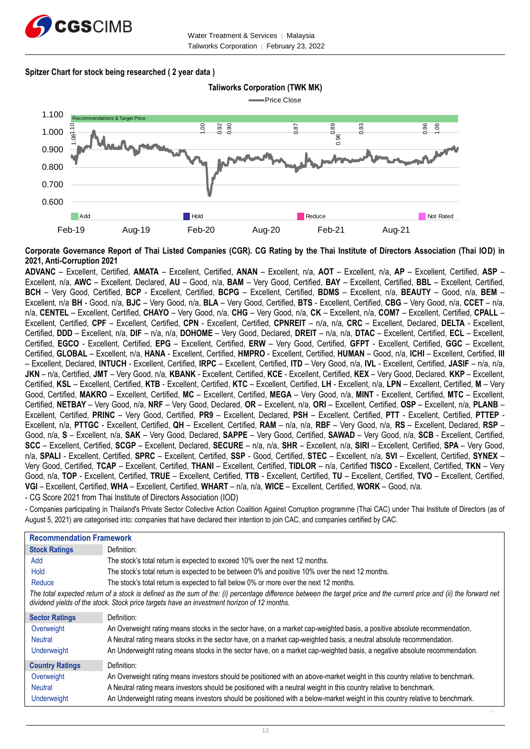

#### **Spitzer Chart for stock being researched ( 2 year data )**



**Corporate Governance Report of Thai Listed Companies (CGR). CG Rating by the Thai Institute of Directors Association (Thai IOD) in 2021, Anti-Corruption 2021**

**ADVANC** – Excellent, Certified, **AMATA** – Excellent, Certified, **ANAN** – Excellent, n/a, **AOT** – Excellent, n/a, **AP** – Excellent, Certified, **ASP** – Excellent, n/a, **AWC** – Excellent, Declared, **AU** – Good, n/a, **BAM** – Very Good, Certified, **BAY** – Excellent, Certified, **BBL** – Excellent, Certified, **BCH** – Very Good, Certified, **BCP** - Excellent, Certified, **BCPG** – Excellent, Certified, **BDMS** – Excellent, n/a, **BEAUTY** – Good, n/a, **BEM** – Excellent, n/a **BH** - Good, n/a, **BJC** – Very Good, n/a, **BLA** – Very Good, Certified, **BTS** - Excellent, Certified, **CBG** – Very Good, n/a, **CCET** – n/a, n/a, **CENTEL** – Excellent, Certified, **CHAYO** – Very Good, n/a, **CHG** – Very Good, n/a, **CK** – Excellent, n/a, **COM7** – Excellent, Certified, **CPALL** – Excellent, Certified, **CPF** – Excellent, Certified, **CPN** - Excellent, Certified, **CPNREIT** – n/a, n/a, **CRC** – Excellent, Declared, **DELTA** - Excellent, Certified, **DDD** – Excellent, n/a, **DIF** – n/a, n/a, **DOHOME** – Very Good, Declared, **DREIT** – n/a, n/a, **DTAC** – Excellent, Certified, **ECL** – Excellent, Certified, **EGCO** - Excellent, Certified, **EPG** – Excellent, Certified, **ERW** – Very Good, Certified, **GFPT** - Excellent, Certified, **GGC** – Excellent, Certified, **GLOBAL** – Excellent, n/a, **HANA** - Excellent, Certified, **HMPRO** - Excellent, Certified, **HUMAN** – Good, n/a, **ICHI** – Excellent, Certified, **III** – Excellent, Declared, **INTUCH** - Excellent, Certified, **IRPC** – Excellent, Certified, **ITD** – Very Good, n/a, **IVL** - Excellent, Certified, **JASIF** – n/a, n/a, **JKN** – n/a, Certified, **JMT** – Very Good, n/a, **KBANK** - Excellent, Certified, **KCE** - Excellent, Certified, **KEX** – Very Good, Declared, **KKP** – Excellent, Certified, **KSL** – Excellent, Certified, **KTB** - Excellent, Certified, **KTC** – Excellent, Certified, **LH** - Excellent, n/a, **LPN** – Excellent, Certified, **M** – Very Good, Certified, **MAKRO** – Excellent, Certified, **MC** – Excellent, Certified, **MEGA** – Very Good, n/a, **MINT** - Excellent, Certified, **MTC** – Excellent, Certified, **NETBAY** – Very Good, n/a, **NRF** – Very Good, Declared, **OR** – Excellent, n/a, **ORI** – Excellent, Certified, **OSP** – Excellent, n/a, **PLANB** – Excellent, Certified, **PRINC** – Very Good, Certified, **PR9** – Excellent, Declared, **PSH** – Excellent, Certified, **PTT** - Excellent, Certified, **PTTEP** - Excellent, n/a, **PTTGC** - Excellent, Certified, **QH** – Excellent, Certified, **RAM** – n/a, n/a, **RBF** – Very Good, n/a, **RS** – Excellent, Declared, **RSP** – Good, n/a, **S** – Excellent, n/a, **SAK** – Very Good, Declared, **SAPPE** – Very Good, Certified, **SAWAD** – Very Good, n/a, **SCB** - Excellent, Certified, **SCC** – Excellent, Certified, **SCGP** – Excellent, Declared, **SECURE** – n/a, n/a, **SHR** – Excellent, n/a, **SIRI** – Excellent, Certified, **SPA** – Very Good, n/a, **SPALI** - Excellent, Certified, **SPRC** – Excellent, Certified, **SSP** - Good, Certified, **STEC** – Excellent, n/a, **SVI** – Excellent, Certified, **SYNEX** – Very Good, Certified, **TCAP** – Excellent, Certified, **THANI** – Excellent, Certified, **TIDLOR** – n/a, Certified **TISCO** - Excellent, Certified, **TKN** – Very Good, n/a, **TOP** - Excellent, Certified, **TRUE** – Excellent, Certified, **TTB** - Excellent, Certified, **TU** – Excellent, Certified, **TVO** – Excellent, Certified, **VGI** – Excellent, Certified, **WHA** – Excellent, Certified, **WHART** – n/a, n/a, **WICE** – Excellent, Certified, **WORK** – Good, n/a.

- CG Score 2021 from Thai Institute of Directors Association (IOD)

- Companies participating in Thailand's Private Sector Collective Action Coalition Against Corruption programme (Thai CAC) under Thai Institute of Directors (as of August 5, 2021) are categorised into: companies that have declared their intention to join CAC, and companies certified by CAC.

| <b>Recommendation Framework</b> |                                                                                                                                                                                                                                                                    |
|---------------------------------|--------------------------------------------------------------------------------------------------------------------------------------------------------------------------------------------------------------------------------------------------------------------|
| <b>Stock Ratings</b>            | Definition:                                                                                                                                                                                                                                                        |
| Add                             | The stock's total return is expected to exceed 10% over the next 12 months.                                                                                                                                                                                        |
| Hold                            | The stock's total return is expected to be between 0% and positive 10% over the next 12 months.                                                                                                                                                                    |
| Reduce                          | The stock's total return is expected to fall below 0% or more over the next 12 months.                                                                                                                                                                             |
|                                 | The total expected return of a stock is defined as the sum of the: (i) percentage difference between the target price and the current price and (ii) the forward net<br>dividend yields of the stock. Stock price targets have an investment horizon of 12 months. |
| <b>Sector Ratings</b>           | Definition:                                                                                                                                                                                                                                                        |
| Overweight                      | An Overweight rating means stocks in the sector have, on a market cap-weighted basis, a positive absolute recommendation.                                                                                                                                          |
| <b>Neutral</b>                  | A Neutral rating means stocks in the sector have, on a market cap-weighted basis, a neutral absolute recommendation.                                                                                                                                               |
| Underweight                     | An Underweight rating means stocks in the sector have, on a market cap-weighted basis, a negative absolute recommendation.                                                                                                                                         |
| <b>Country Ratings</b>          | Definition:                                                                                                                                                                                                                                                        |
| Overweight                      | An Overweight rating means investors should be positioned with an above-market weight in this country relative to benchmark.                                                                                                                                       |
| <b>Neutral</b>                  | A Neutral rating means investors should be positioned with a neutral weight in this country relative to benchmark.                                                                                                                                                 |
| Underweight                     | An Underweight rating means investors should be positioned with a below-market weight in this country relative to benchmark.                                                                                                                                       |